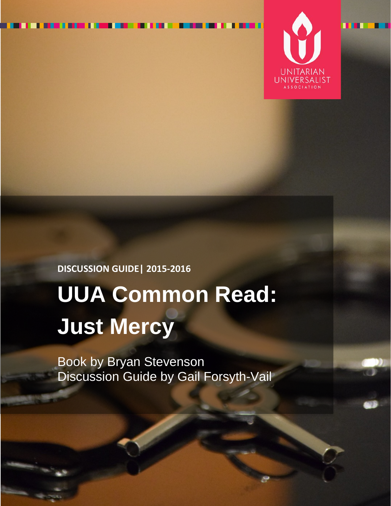

# **DISCUSSION GUIDE| 2015-2016 UUA Common Read: Just Mercy**

Book by Bryan Stevenson Discussion Guide by Gail Forsyth-Vail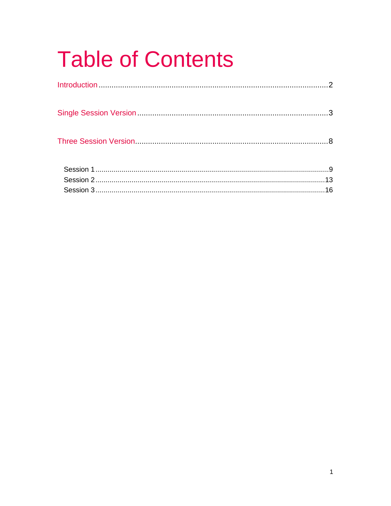# **Table of Contents**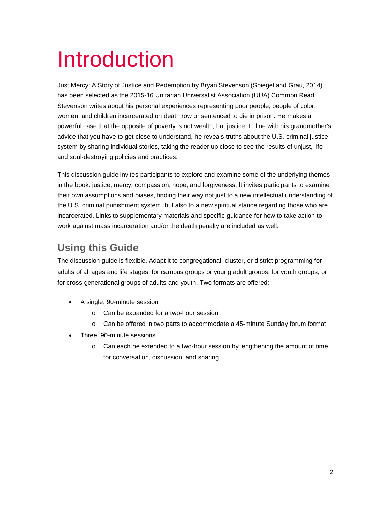# Introduction

Just Mercy: A Story of Justice and Redemption by Bryan Stevenson (Spiegel and Grau, 2014) has been selected as the 2015-16 Unitarian Universalist Association (UUA) Common Read. Stevenson writes about his personal experiences representing poor people, people of color, women, and children incarcerated on death row or sentenced to die in prison. He makes a powerful case that the opposite of poverty is not wealth, but justice. In line with his grandmother's advice that you have to get close to understand, he reveals truths about the U.S. criminal justice system by sharing individual stories, taking the reader up close to see the results of unjust, lifeand soul-destroying policies and practices.

This discussion guide invites participants to explore and examine some of the underlying themes in the book: justice, mercy, compassion, hope, and forgiveness. It invites participants to examine their own assumptions and biases, finding their way not just to a new intellectual understanding of the U.S. criminal punishment system, but also to a new spiritual stance regarding those who are incarcerated. Links to supplementary materials and specific guidance for how to take action to work against mass incarceration and/or the death penalty are included as well.

### **Using this Guide**

The discussion guide is flexible. Adapt it to congregational, cluster, or district programming for adults of all ages and life stages, for campus groups or young adult groups, for youth groups, or for cross-generational groups of adults and youth. Two formats are offered:

- A single, 90-minute session
	- o Can be expanded for a two-hour session
	- o Can be offered in two parts to accommodate a 45-minute Sunday forum format
- Three, 90-minute sessions
	- o Can each be extended to a two-hour session by lengthening the amount of time for conversation, discussion, and sharing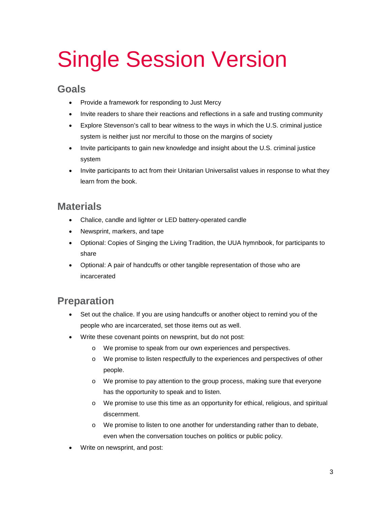# Single Session Version

#### **Goals**

- Provide a framework for responding to Just Mercy
- Invite readers to share their reactions and reflections in a safe and trusting community
- Explore Stevenson's call to bear witness to the ways in which the U.S. criminal justice system is neither just nor merciful to those on the margins of society
- Invite participants to gain new knowledge and insight about the U.S. criminal justice system
- Invite participants to act from their Unitarian Universalist values in response to what they learn from the book.

#### **Materials**

- Chalice, candle and lighter or LED battery-operated candle
- Newsprint, markers, and tape
- Optional: Copies of Singing the Living Tradition, the UUA hymnbook, for participants to share
- Optional: A pair of handcuffs or other tangible representation of those who are incarcerated

### **Preparation**

- Set out the chalice. If you are using handcuffs or another object to remind you of the people who are incarcerated, set those items out as well.
- Write these covenant points on newsprint, but do not post:
	- o We promise to speak from our own experiences and perspectives.
	- o We promise to listen respectfully to the experiences and perspectives of other people.
	- o We promise to pay attention to the group process, making sure that everyone has the opportunity to speak and to listen.
	- o We promise to use this time as an opportunity for ethical, religious, and spiritual discernment.
	- o We promise to listen to one another for understanding rather than to debate, even when the conversation touches on politics or public policy.
- Write on newsprint, and post: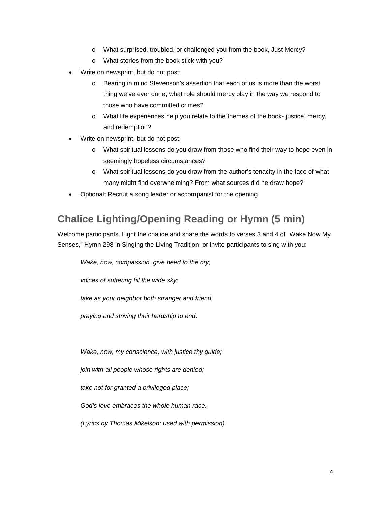- o What surprised, troubled, or challenged you from the book, Just Mercy?
- o What stories from the book stick with you?
- Write on newsprint, but do not post:
	- o Bearing in mind Stevenson's assertion that each of us is more than the worst thing we've ever done, what role should mercy play in the way we respond to those who have committed crimes?
	- o What life experiences help you relate to the themes of the book- justice, mercy, and redemption?
- Write on newsprint, but do not post:
	- o What spiritual lessons do you draw from those who find their way to hope even in seemingly hopeless circumstances?
	- o What spiritual lessons do you draw from the author's tenacity in the face of what many might find overwhelming? From what sources did he draw hope?
- Optional: Recruit a song leader or accompanist for the opening.

#### **Chalice Lighting/Opening Reading or Hymn (5 min)**

Welcome participants. Light the chalice and share the words to verses 3 and 4 of "Wake Now My Senses," Hymn 298 in Singing the Living Tradition, or invite participants to sing with you:

*Wake, now, compassion, give heed to the cry;*

*voices of suffering fill the wide sky;*

*take as your neighbor both stranger and friend,*

*praying and striving their hardship to end.*

*Wake, now, my conscience, with justice thy guide;*

*join with all people whose rights are denied;*

*take not for granted a privileged place;*

*God's love embraces the whole human race.*

*(Lyrics by Thomas Mikelson; used with permission)*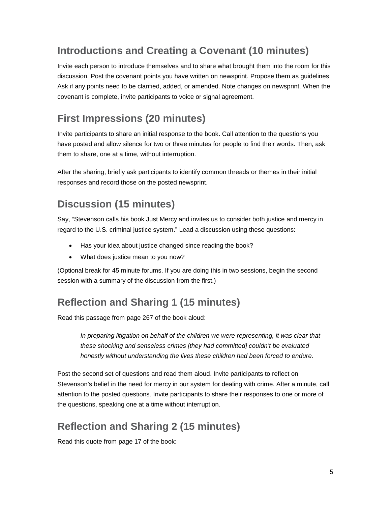### **Introductions and Creating a Covenant (10 minutes)**

Invite each person to introduce themselves and to share what brought them into the room for this discussion. Post the covenant points you have written on newsprint. Propose them as guidelines. Ask if any points need to be clarified, added, or amended. Note changes on newsprint. When the covenant is complete, invite participants to voice or signal agreement.

### **First Impressions (20 minutes)**

Invite participants to share an initial response to the book. Call attention to the questions you have posted and allow silence for two or three minutes for people to find their words. Then, ask them to share, one at a time, without interruption.

After the sharing, briefly ask participants to identify common threads or themes in their initial responses and record those on the posted newsprint.

### **Discussion (15 minutes)**

Say, "Stevenson calls his book Just Mercy and invites us to consider both justice and mercy in regard to the U.S. criminal justice system." Lead a discussion using these questions:

- Has your idea about justice changed since reading the book?
- What does justice mean to you now?

(Optional break for 45 minute forums. If you are doing this in two sessions, begin the second session with a summary of the discussion from the first.)

### **Reflection and Sharing 1 (15 minutes)**

Read this passage from page 267 of the book aloud:

*In preparing litigation on behalf of the children we were representing, it was clear that these shocking and senseless crimes [they had committed] couldn't be evaluated honestly without understanding the lives these children had been forced to endure.* 

Post the second set of questions and read them aloud. Invite participants to reflect on Stevenson's belief in the need for mercy in our system for dealing with crime. After a minute, call attention to the posted questions. Invite participants to share their responses to one or more of the questions, speaking one at a time without interruption.

#### **Reflection and Sharing 2 (15 minutes)**

Read this quote from page 17 of the book: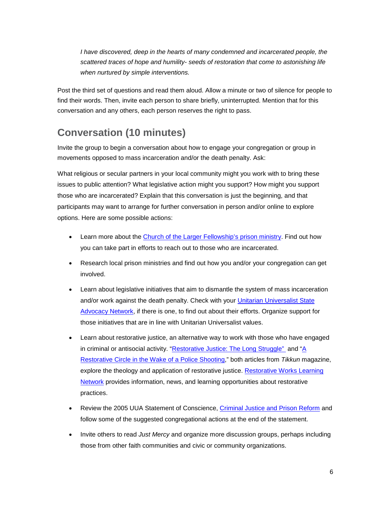*I* have discovered, deep in the hearts of many condemned and incarcerated people, the *scattered traces of hope and humility- seeds of restoration that come to astonishing life when nurtured by simple interventions.*

Post the third set of questions and read them aloud. Allow a minute or two of silence for people to find their words. Then, invite each person to share briefly, uninterrupted. Mention that for this conversation and any others, each person reserves the right to pass.

#### **Conversation (10 minutes)**

Invite the group to begin a conversation about how to engage your congregation or group in movements opposed to mass incarceration and/or the death penalty. Ask:

What religious or secular partners in your local community might you work with to bring these issues to public attention? What legislative action might you support? How might you support those who are incarcerated? Explain that this conversation is just the beginning, and that participants may want to arrange for further conversation in person and/or online to explore options. Here are some possible actions:

- Learn more about the [Church of the Larger Fellowship's prison ministry.](http://www.questformeaning.org/programs/prison-ministry/) Find out how you can take part in efforts to reach out to those who are incarcerated.
- Research local prison ministries and find out how you and/or your congregation can get involved.
- Learn about legislative initiatives that aim to dismantle the system of mass incarceration and/or work against the death penalty. Check with your Unitarian Universalist State [Advocacy Network,](http://uustatenetworks.org/) if there is one, to find out about their efforts. Organize support for those initiatives that are in line with Unitarian Universalist values.
- Learn about restorative justice, an alternative way to work with those who have engaged in criminal or antisocial activity. ["Restorative Justice: The Long Struggle"](http://www.tikkun.org/nextgen/restorative-justice-the-long-struggle) and ["A](http://www.tikkun.org/nextgen/a-restorative-circle-in-the-wake-of-a-police-shooting)  [Restorative Circle in the Wake of a Police Shooting,](http://www.tikkun.org/nextgen/a-restorative-circle-in-the-wake-of-a-police-shooting)" both articles from *Tikkun* magazine, explore the theology and application of restorative justice. Restorative Works Learning [Network](http://restorativeworks.net/) provides information, news, and learning opportunities about restorative practices.
- Review the 2005 UUA Statement of Conscience, [Criminal Justice and Prison Reform](http://www.uua.org/statements/criminal-justice-and-prison-reform) and follow some of the suggested congregational actions at the end of the statement.
- Invite others to read *Just Mercy* and organize more discussion groups, perhaps including those from other faith communities and civic or community organizations.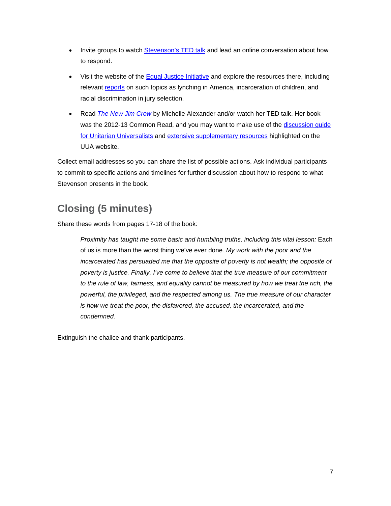- Invite groups to watch [Stevenson's TED talk](http://www.ted.com/talks/bryan_stevenson_we_need_to_talk_about_an_injustice?language=en) and lead an online conversation about how to respond.
- Visit the website of the [Equal Justice Initiative](http://www.eji.org/) and explore the resources there, including relevant [reports](http://www.eji.org/files/EJI%20Public%20Education%20Materials.pdf) on such topics as lynching in America, incarceration of children, and racial discrimination in jury selection.
- Read *[The New Jim Crow](http://www.uuabookstore.org/The-New-Jim-Crow-P17240.aspx)* by Michelle Alexander and/or watch her TED talk. Her book was the 2012-13 Common Read, and you may want to make use of the [discussion guide](http://www.uua.org/sites/live-new.uua.org/files/documents/lfd/commonread/crow_discussion.pdf)  [for Unitarian Universalists](http://www.uua.org/sites/live-new.uua.org/files/documents/lfd/commonread/crow_discussion.pdf) and [extensive supplementary resources](http://www.uua.org/multiculturalism/new-jim-crow) highlighted on the UUA website.

Collect email addresses so you can share the list of possible actions. Ask individual participants to commit to specific actions and timelines for further discussion about how to respond to what Stevenson presents in the book.

# **Closing (5 minutes)**

Share these words from pages 17-18 of the book:

*Proximity has taught me some basic and humbling truths, including this vital lesson: Each* of us is more than the worst thing we've ever done*. My work with the poor and the incarcerated has persuaded me that the opposite of poverty is not wealth; the opposite of poverty is justice. Finally, I've come to believe that the true measure of our commitment*  to the rule of law, fairness, and equality cannot be measured by how we treat the rich, the *powerful, the privileged, and the respected among us. The true measure of our character is how we treat the poor, the disfavored, the accused, the incarcerated, and the condemned.*

Extinguish the chalice and thank participants.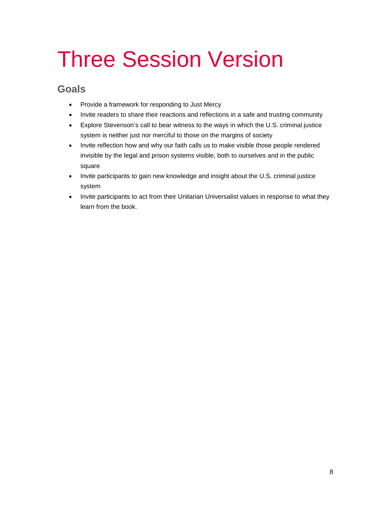# Three Session Version

#### **Goals**

- Provide a framework for responding to Just Mercy
- Invite readers to share their reactions and reflections in a safe and trusting community
- Explore Stevenson's call to bear witness to the ways in which the U.S. criminal justice system is neither just nor merciful to those on the margins of society
- Invite reflection how and why our faith calls us to make visible those people rendered invisible by the legal and prison systems visible, both to ourselves and in the public square
- Invite participants to gain new knowledge and insight about the U.S. criminal justice system
- Invite participants to act from their Unitarian Universalist values in response to what they learn from the book.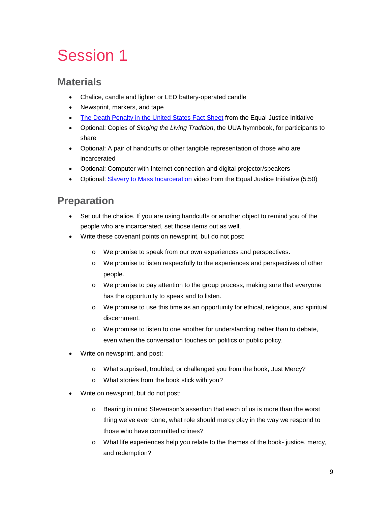# Session 1

#### **Materials**

- Chalice, candle and lighter or LED battery-operated candle
- Newsprint, markers, and tape
- [The Death Penalty in the United States Fact Sheet](http://www.eji.org/files/Dec%202011%20Death%20Penalty%20in%20the%20US%20Fact%20Sheet.pdf) from the Equal Justice Initiative
- Optional: Copies of *Singing the Living Tradition*, the UUA hymnbook, for participants to share
- Optional: A pair of handcuffs or other tangible representation of those who are incarcerated
- Optional: Computer with Internet connection and digital projector/speakers
- Optional: [Slavery to Mass Incarceration](http://www.eji.org/slaveryevolved) video from the Equal Justice Initiative (5:50)

#### **Preparation**

- Set out the chalice. If you are using handcuffs or another object to remind you of the people who are incarcerated, set those items out as well.
- Write these covenant points on newsprint, but do not post:
	- o We promise to speak from our own experiences and perspectives.
	- o We promise to listen respectfully to the experiences and perspectives of other people.
	- o We promise to pay attention to the group process, making sure that everyone has the opportunity to speak and to listen.
	- o We promise to use this time as an opportunity for ethical, religious, and spiritual discernment.
	- o We promise to listen to one another for understanding rather than to debate, even when the conversation touches on politics or public policy.
- Write on newsprint, and post:
	- o What surprised, troubled, or challenged you from the book, Just Mercy?
	- o What stories from the book stick with you?
- Write on newsprint, but do not post:
	- o Bearing in mind Stevenson's assertion that each of us is more than the worst thing we've ever done, what role should mercy play in the way we respond to those who have committed crimes?
	- o What life experiences help you relate to the themes of the book- justice, mercy, and redemption?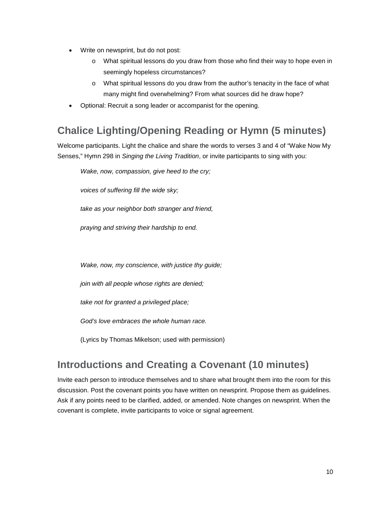- Write on newsprint, but do not post:
	- o What spiritual lessons do you draw from those who find their way to hope even in seemingly hopeless circumstances?
	- o What spiritual lessons do you draw from the author's tenacity in the face of what many might find overwhelming? From what sources did he draw hope?
- Optional: Recruit a song leader or accompanist for the opening.

### **Chalice Lighting/Opening Reading or Hymn (5 minutes)**

Welcome participants. Light the chalice and share the words to verses 3 and 4 of "Wake Now My Senses," Hymn 298 in *Singing the Living Tradition*, or invite participants to sing with you:

*Wake, now, compassion, give heed to the cry;*

*voices of suffering fill the wide sky;*

*take as your neighbor both stranger and friend,*

*praying and striving their hardship to end.*

*Wake, now, my conscience, with justice thy guide;*

*join with all people whose rights are denied;*

*take not for granted a privileged place;*

*God's love embraces the whole human race.*

(Lyrics by Thomas Mikelson; used with permission)

#### **Introductions and Creating a Covenant (10 minutes)**

Invite each person to introduce themselves and to share what brought them into the room for this discussion. Post the covenant points you have written on newsprint. Propose them as guidelines. Ask if any points need to be clarified, added, or amended. Note changes on newsprint. When the covenant is complete, invite participants to voice or signal agreement.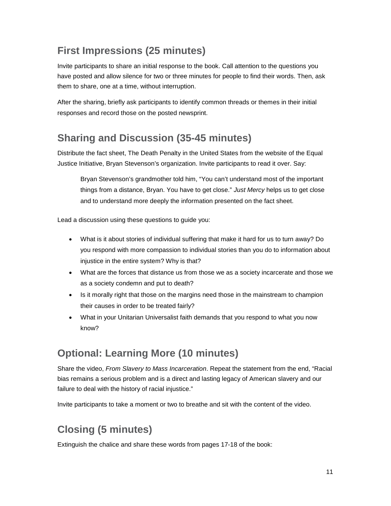#### **First Impressions (25 minutes)**

Invite participants to share an initial response to the book. Call attention to the questions you have posted and allow silence for two or three minutes for people to find their words. Then, ask them to share, one at a time, without interruption.

After the sharing, briefly ask participants to identify common threads or themes in their initial responses and record those on the posted newsprint.

#### **Sharing and Discussion (35-45 minutes)**

Distribute the fact sheet, The Death Penalty in the United States from the website of the Equal Justice Initiative, Bryan Stevenson's organization. Invite participants to read it over. Say:

Bryan Stevenson's grandmother told him, "You can't understand most of the important things from a distance, Bryan. You have to get close." *Just Mercy* helps us to get close and to understand more deeply the information presented on the fact sheet.

Lead a discussion using these questions to guide you:

- What is it about stories of individual suffering that make it hard for us to turn away? Do you respond with more compassion to individual stories than you do to information about injustice in the entire system? Why is that?
- What are the forces that distance us from those we as a society incarcerate and those we as a society condemn and put to death?
- Is it morally right that those on the margins need those in the mainstream to champion their causes in order to be treated fairly?
- What in your Unitarian Universalist faith demands that you respond to what you now know?

#### **Optional: Learning More (10 minutes)**

Share the video, *From Slavery to Mass Incarceration*. Repeat the statement from the end, "Racial bias remains a serious problem and is a direct and lasting legacy of American slavery and our failure to deal with the history of racial injustice."

Invite participants to take a moment or two to breathe and sit with the content of the video.

# **Closing (5 minutes)**

Extinguish the chalice and share these words from pages 17-18 of the book: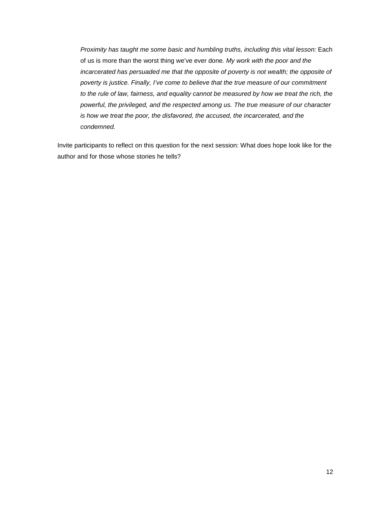*Proximity has taught me some basic and humbling truths, including this vital lesson: Each* of us is more than the worst thing we've ever done*. My work with the poor and the incarcerated has persuaded me that the opposite of poverty is not wealth; the opposite of poverty is justice. Finally, I've come to believe that the true measure of our commitment*  to the rule of law, fairness, and equality cannot be measured by how we treat the rich, the *powerful, the privileged, and the respected among us. The true measure of our character is how we treat the poor, the disfavored, the accused, the incarcerated, and the condemned.*

Invite participants to reflect on this question for the next session: What does hope look like for the author and for those whose stories he tells?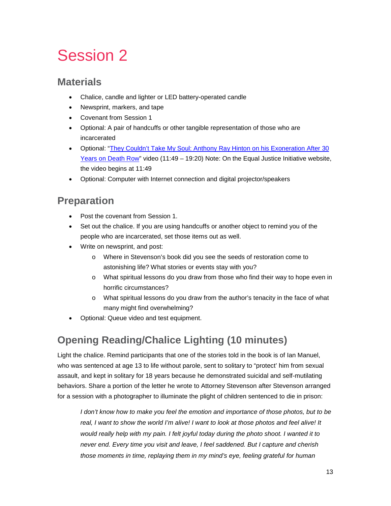# Session 2

#### **Materials**

- Chalice, candle and lighter or LED battery-operated candle
- Newsprint, markers, and tape
- Covenant from Session 1
- Optional: A pair of handcuffs or other tangible representation of those who are incarcerated
- Optional: ["They Couldn't Take My Soul: Anthony Ray Hinton on his Exoneration After 30](http://www.democracynow.org/2015/4/6/they_couldn_t_take_my_soul)  [Years on Death Row"](http://www.democracynow.org/2015/4/6/they_couldn_t_take_my_soul) video (11:49 – 19:20) Note: On the Equal Justice Initiative website, the video begins at 11:49
- Optional: Computer with Internet connection and digital projector/speakers

#### **Preparation**

- Post the covenant from Session 1.
- Set out the chalice. If you are using handcuffs or another object to remind you of the people who are incarcerated, set those items out as well.
- Write on newsprint, and post:
	- o Where in Stevenson's book did you see the seeds of restoration come to astonishing life? What stories or events stay with you?
	- o What spiritual lessons do you draw from those who find their way to hope even in horrific circumstances?
	- o What spiritual lessons do you draw from the author's tenacity in the face of what many might find overwhelming?
- Optional: Queue video and test equipment.

### **Opening Reading/Chalice Lighting (10 minutes)**

Light the chalice. Remind participants that one of the stories told in the book is of Ian Manuel, who was sentenced at age 13 to life without parole, sent to solitary to "protect' him from sexual assault, and kept in solitary for 18 years because he demonstrated suicidal and self-mutilating behaviors. Share a portion of the letter he wrote to Attorney Stevenson after Stevenson arranged for a session with a photographer to illuminate the plight of children sentenced to die in prison:

*I don't know how to make you feel the emotion and importance of those photos, but to be real, I want to show the world I'm alive! I want to look at those photos and feel alive! It would really help with my pain. I felt joyful today during the photo shoot. I wanted it to never end. Every time you visit and leave, I feel saddened. But I capture and cherish those moments in time, replaying them in my mind's eye, feeling grateful for human*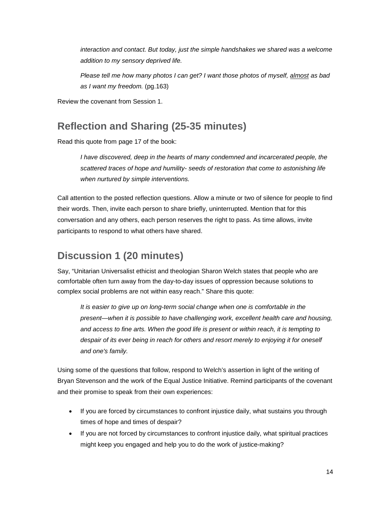interaction and contact. But today, just the simple handshakes we shared was a welcome *addition to my sensory deprived life.*

*Please tell me how many photos I can get? I want those photos of myself, almost as bad as I want my freedom.* (pg.163)

Review the covenant from Session 1.

### **Reflection and Sharing (25-35 minutes)**

Read this quote from page 17 of the book:

*I have discovered, deep in the hearts of many condemned and incarcerated people, the scattered traces of hope and humility- seeds of restoration that come to astonishing life when nurtured by simple interventions.*

Call attention to the posted reflection questions. Allow a minute or two of silence for people to find their words. Then, invite each person to share briefly, uninterrupted. Mention that for this conversation and any others, each person reserves the right to pass. As time allows, invite participants to respond to what others have shared.

### **Discussion 1 (20 minutes)**

Say, "Unitarian Universalist ethicist and theologian Sharon Welch states that people who are comfortable often turn away from the day-to-day issues of oppression because solutions to complex social problems are not within easy reach." Share this quote:

*It is easier to give up on long-term social change when one is comfortable in the present—when it is possible to have challenging work, excellent health care and housing, and access to fine arts. When the good life is present or within reach, it is tempting to despair of its ever being in reach for others and resort merely to enjoying it for oneself and one's family.*

Using some of the questions that follow, respond to Welch's assertion in light of the writing of Bryan Stevenson and the work of the Equal Justice Initiative. Remind participants of the covenant and their promise to speak from their own experiences:

- If you are forced by circumstances to confront injustice daily, what sustains you through times of hope and times of despair?
- If you are not forced by circumstances to confront injustice daily, what spiritual practices might keep you engaged and help you to do the work of justice-making?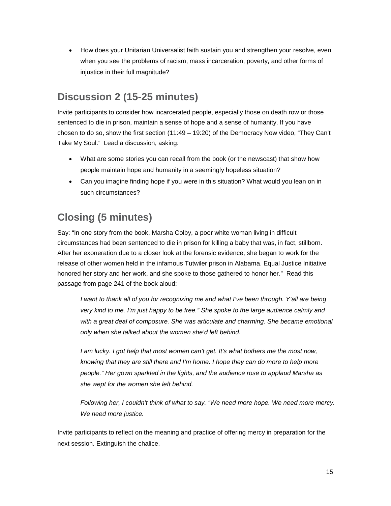• How does your Unitarian Universalist faith sustain you and strengthen your resolve, even when you see the problems of racism, mass incarceration, poverty, and other forms of injustice in their full magnitude?

### **Discussion 2 (15-25 minutes)**

Invite participants to consider how incarcerated people, especially those on death row or those sentenced to die in prison, maintain a sense of hope and a sense of humanity. If you have chosen to do so, show the first section (11:49 – 19:20) of the Democracy Now video, "They Can't Take My Soul." Lead a discussion, asking:

- What are some stories you can recall from the book (or the newscast) that show how people maintain hope and humanity in a seemingly hopeless situation?
- Can you imagine finding hope if you were in this situation? What would you lean on in such circumstances?

# **Closing (5 minutes)**

Say: "In one story from the book, Marsha Colby, a poor white woman living in difficult circumstances had been sentenced to die in prison for killing a baby that was, in fact, stillborn. After her exoneration due to a closer look at the forensic evidence, she began to work for the release of other women held in the infamous Tutwiler prison in Alabama. Equal Justice Initiative honored her story and her work, and she spoke to those gathered to honor her." Read this passage from page 241 of the book aloud:

*I want to thank all of you for recognizing me and what I've been through. Y'all are being very kind to me. I'm just happy to be free." She spoke to the large audience calmly and*  with a great deal of composure. She was articulate and charming. She became emotional *only when she talked about the women she'd left behind.*

*I am lucky. I got help that most women can't get. It's what bothers me the most now, knowing that they are still there and I'm home. I hope they can do more to help more people." Her gown sparkled in the lights, and the audience rose to applaud Marsha as she wept for the women she left behind.*

*Following her, I couldn't think of what to say. "We need more hope. We need more mercy. We need more justice.*

Invite participants to reflect on the meaning and practice of offering mercy in preparation for the next session. Extinguish the chalice.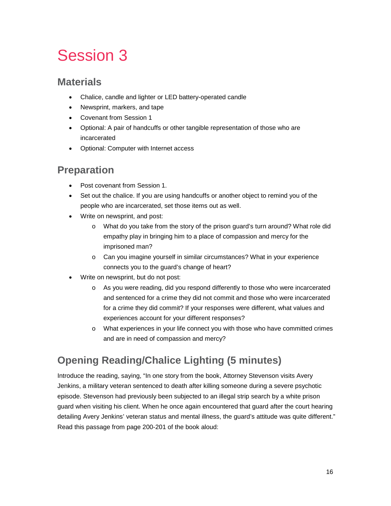# Session 3

#### **Materials**

- Chalice, candle and lighter or LED battery-operated candle
- Newsprint, markers, and tape
- Covenant from Session 1
- Optional: A pair of handcuffs or other tangible representation of those who are incarcerated
- Optional: Computer with Internet access

#### **Preparation**

- Post covenant from Session 1.
- Set out the chalice. If you are using handcuffs or another object to remind you of the people who are incarcerated, set those items out as well.
- Write on newsprint, and post:
	- o What do you take from the story of the prison guard's turn around? What role did empathy play in bringing him to a place of compassion and mercy for the imprisoned man?
	- o Can you imagine yourself in similar circumstances? What in your experience connects you to the guard's change of heart?
- Write on newsprint, but do not post:
	- o As you were reading, did you respond differently to those who were incarcerated and sentenced for a crime they did not commit and those who were incarcerated for a crime they did commit? If your responses were different, what values and experiences account for your different responses?
	- o What experiences in your life connect you with those who have committed crimes and are in need of compassion and mercy?

# **Opening Reading/Chalice Lighting (5 minutes)**

Introduce the reading, saying, "In one story from the book, Attorney Stevenson visits Avery Jenkins, a military veteran sentenced to death after killing someone during a severe psychotic episode. Stevenson had previously been subjected to an illegal strip search by a white prison guard when visiting his client. When he once again encountered that guard after the court hearing detailing Avery Jenkins' veteran status and mental illness, the guard's attitude was quite different." Read this passage from page 200-201 of the book aloud: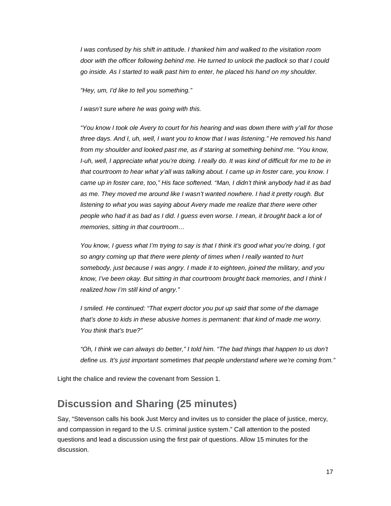*I was confused by his shift in attitude. I thanked him and walked to the visitation room door with the officer following behind me. He turned to unlock the padlock so that I could go inside. As I started to walk past him to enter, he placed his hand on my shoulder.*

*"Hey, um, I'd like to tell you something."*

*I wasn't sure where he was going with this.*

*"You know I took ole Avery to court for his hearing and was down there with y'all for those three days. And I, uh, well, I want you to know that I was listening." He removed his hand from my shoulder and looked past me, as if staring at something behind me. "You know, I-uh, well, I appreciate what you're doing. I really do. It was kind of difficult for me to be in that courtroom to hear what y'all was talking about. I came up in foster care, you know. I came up in foster care, too," His face softened. "Man, I didn't think anybody had it as bad as me. They moved me around like I wasn't wanted nowhere. I had it pretty rough. But*  listening to what you was saying about Avery made me realize that there were other *people who had it as bad as I did. I guess even worse. I mean, it brought back a lot of memories, sitting in that courtroom…*

*You know, I guess what I'm trying to say is that I think it's good what you're doing, I got so angry coming up that there were plenty of times when I really wanted to hurt somebody, just because I was angry. I made it to eighteen, joined the military, and you know, I've been okay. But sitting in that courtroom brought back memories, and I think I realized how I'm still kind of angry."*

*I smiled. He continued: "That expert doctor you put up said that some of the damage that's done to kids in these abusive homes is permanent: that kind of made me worry. You think that's true?"*

"Oh, I think we can always do better," I told him. "The bad things that happen to us don't *define us. It's just important sometimes that people understand where we're coming from."*

Light the chalice and review the covenant from Session 1.

#### **Discussion and Sharing (25 minutes)**

Say, "Stevenson calls his book Just Mercy and invites us to consider the place of justice, mercy, and compassion in regard to the U.S. criminal justice system." Call attention to the posted questions and lead a discussion using the first pair of questions. Allow 15 minutes for the discussion.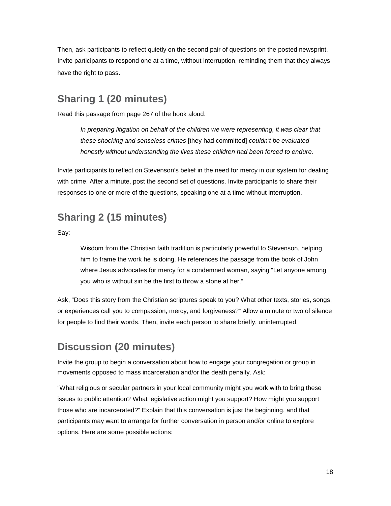Then, ask participants to reflect quietly on the second pair of questions on the posted newsprint. Invite participants to respond one at a time, without interruption, reminding them that they always have the right to pass.

### **Sharing 1 (20 minutes)**

Read this passage from page 267 of the book aloud:

In preparing litigation on behalf of the children we were representing, it was clear that *these shocking and senseless crimes* [they had committed] *couldn't be evaluated honestly without understanding the lives these children had been forced to endure.* 

Invite participants to reflect on Stevenson's belief in the need for mercy in our system for dealing with crime. After a minute, post the second set of questions. Invite participants to share their responses to one or more of the questions, speaking one at a time without interruption.

#### **Sharing 2 (15 minutes)**

Say:

Wisdom from the Christian faith tradition is particularly powerful to Stevenson, helping him to frame the work he is doing. He references the passage from the book of John where Jesus advocates for mercy for a condemned woman, saying "Let anyone among you who is without sin be the first to throw a stone at her."

Ask, "Does this story from the Christian scriptures speak to you? What other texts, stories, songs, or experiences call you to compassion, mercy, and forgiveness?" Allow a minute or two of silence for people to find their words. Then, invite each person to share briefly, uninterrupted.

#### **Discussion (20 minutes)**

Invite the group to begin a conversation about how to engage your congregation or group in movements opposed to mass incarceration and/or the death penalty. Ask:

"What religious or secular partners in your local community might you work with to bring these issues to public attention? What legislative action might you support? How might you support those who are incarcerated?" Explain that this conversation is just the beginning, and that participants may want to arrange for further conversation in person and/or online to explore options. Here are some possible actions: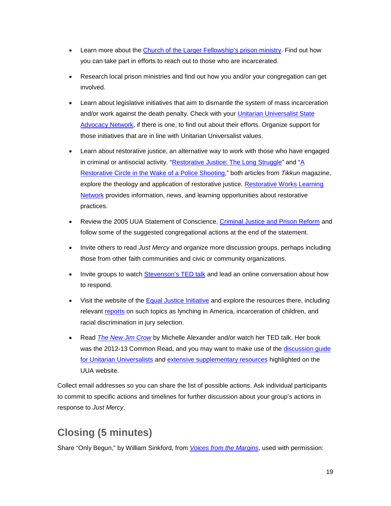- Learn more about the [Church of the Larger Fellowship's prison ministry.](http://www.questformeaning.org/programs/prison-ministry/) Find out how you can take part in efforts to reach out to those who are incarcerated.
- Research local prison ministries and find out how you and/or your congregation can get involved.
- Learn about legislative initiatives that aim to dismantle the system of mass incarceration and/or work against the death penalty. Check with your [Unitarian Universalist State](http://uustatenetworks.org/)  [Advocacy Network,](http://uustatenetworks.org/) if there is one, to find out about their efforts. Organize support for those initiatives that are in line with Unitarian Universalist values.
- Learn about restorative justice, an alternative way to work with those who have engaged in criminal or antisocial activity. ["Restorative Justice: The Long Struggle"](http://www.tikkun.org/nextgen/restorative-justice-the-long-struggle) and ["A](http://www.tikkun.org/nextgen/a-restorative-circle-in-the-wake-of-a-police-shooting)  [Restorative Circle in the Wake of a Police Shooting,](http://www.tikkun.org/nextgen/a-restorative-circle-in-the-wake-of-a-police-shooting)" both articles from *Tikkun* magazine, explore the theology and application of restorative justice. [Restorative Works Learning](http://restorativeworks.net/)  [Network](http://restorativeworks.net/) provides information, news, and learning opportunities about restorative practices.
- Review the 2005 UUA Statement of Conscience, [Criminal Justice and Prison Reform](http://www.uua.org/statements/criminal-justice-and-prison-reform) and follow some of the suggested congregational actions at the end of the statement.
- Invite others to read *Just Mercy* and organize more discussion groups, perhaps including those from other faith communities and civic or community organizations.
- Invite groups to watch **Stevenson's TED talk** and lead an online conversation about how to respond.
- Visit the website of the [Equal Justice Initiative](http://www.eji.org/) and explore the resources there, including relevant [reports](http://www.eji.org/files/EJI%20Public%20Education%20Materials.pdf) on such topics as lynching in America, incarceration of children, and racial discrimination in jury selection.
- Read *[The New Jim Crow](http://www.uuabookstore.org/The-New-Jim-Crow-P17240.aspx)* by Michelle Alexander and/or watch her TED talk. Her book was the 2012-13 Common Read, and you may want to make use of the discussion quide [for Unitarian Universalists](http://www.uua.org/sites/live-new.uua.org/files/documents/lfd/commonread/crow_discussion.pdf) and [extensive supplementary resources](http://www.uua.org/multiculturalism/new-jim-crow) highlighted on the UUA website.

Collect email addresses so you can share the list of possible actions. Ask individual participants to commit to specific actions and timelines for further discussion about your group's actions in response to *Just Mercy*.

# **Closing (5 minutes)**

Share "Only Begun," by William Sinkford, from *[Voices from the Margins](http://www.uuabookstore.org/Voices-from-the-Margins-P17223.aspx)*, used with permission: